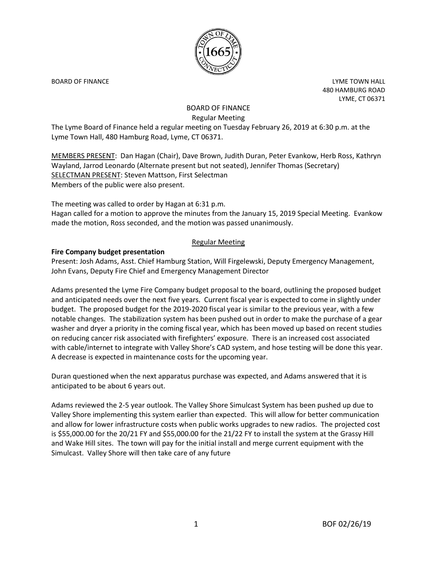

BOARD OF FINANCE **EXAMPLE TOWA HALL** 480 HAMBURG ROAD LYME, CT 06371

# BOARD OF FINANCE Regular Meeting

The Lyme Board of Finance held a regular meeting on Tuesday February 26, 2019 at 6:30 p.m. at the Lyme Town Hall, 480 Hamburg Road, Lyme, CT 06371.

MEMBERS PRESENT: Dan Hagan (Chair), Dave Brown, Judith Duran, Peter Evankow, Herb Ross, Kathryn Wayland, Jarrod Leonardo (Alternate present but not seated), Jennifer Thomas (Secretary) SELECTMAN PRESENT: Steven Mattson, First Selectman Members of the public were also present.

The meeting was called to order by Hagan at 6:31 p.m.

Hagan called for a motion to approve the minutes from the January 15, 2019 Special Meeting. Evankow made the motion, Ross seconded, and the motion was passed unanimously.

## Regular Meeting

## **Fire Company budget presentation**

Present: Josh Adams, Asst. Chief Hamburg Station, Will Firgelewski, Deputy Emergency Management, John Evans, Deputy Fire Chief and Emergency Management Director

Adams presented the Lyme Fire Company budget proposal to the board, outlining the proposed budget and anticipated needs over the next five years. Current fiscal year is expected to come in slightly under budget. The proposed budget for the 2019-2020 fiscal year is similar to the previous year, with a few notable changes. The stabilization system has been pushed out in order to make the purchase of a gear washer and dryer a priority in the coming fiscal year, which has been moved up based on recent studies on reducing cancer risk associated with firefighters' exposure. There is an increased cost associated with cable/internet to integrate with Valley Shore's CAD system, and hose testing will be done this year. A decrease is expected in maintenance costs for the upcoming year.

Duran questioned when the next apparatus purchase was expected, and Adams answered that it is anticipated to be about 6 years out.

Adams reviewed the 2-5 year outlook. The Valley Shore Simulcast System has been pushed up due to Valley Shore implementing this system earlier than expected. This will allow for better communication and allow for lower infrastructure costs when public works upgrades to new radios. The projected cost is \$55,000.00 for the 20/21 FY and \$55,000.00 for the 21/22 FY to install the system at the Grassy Hill and Wake Hill sites. The town will pay for the initial install and merge current equipment with the Simulcast. Valley Shore will then take care of any future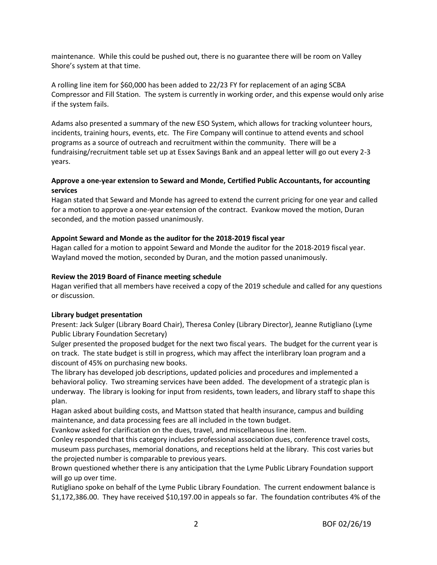maintenance. While this could be pushed out, there is no guarantee there will be room on Valley Shore's system at that time.

A rolling line item for \$60,000 has been added to 22/23 FY for replacement of an aging SCBA Compressor and Fill Station. The system is currently in working order, and this expense would only arise if the system fails.

Adams also presented a summary of the new ESO System, which allows for tracking volunteer hours, incidents, training hours, events, etc. The Fire Company will continue to attend events and school programs as a source of outreach and recruitment within the community. There will be a fundraising/recruitment table set up at Essex Savings Bank and an appeal letter will go out every 2-3 years.

# **Approve a one-year extension to Seward and Monde, Certified Public Accountants, for accounting services**

Hagan stated that Seward and Monde has agreed to extend the current pricing for one year and called for a motion to approve a one-year extension of the contract. Evankow moved the motion, Duran seconded, and the motion passed unanimously.

# **Appoint Seward and Monde as the auditor for the 2018-2019 fiscal year**

Hagan called for a motion to appoint Seward and Monde the auditor for the 2018-2019 fiscal year. Wayland moved the motion, seconded by Duran, and the motion passed unanimously.

## **Review the 2019 Board of Finance meeting schedule**

Hagan verified that all members have received a copy of the 2019 schedule and called for any questions or discussion.

## **Library budget presentation**

Present: Jack Sulger (Library Board Chair), Theresa Conley (Library Director), Jeanne Rutigliano (Lyme Public Library Foundation Secretary)

Sulger presented the proposed budget for the next two fiscal years. The budget for the current year is on track. The state budget is still in progress, which may affect the interlibrary loan program and a discount of 45% on purchasing new books.

The library has developed job descriptions, updated policies and procedures and implemented a behavioral policy. Two streaming services have been added. The development of a strategic plan is underway. The library is looking for input from residents, town leaders, and library staff to shape this plan.

Hagan asked about building costs, and Mattson stated that health insurance, campus and building maintenance, and data processing fees are all included in the town budget.

Evankow asked for clarification on the dues, travel, and miscellaneous line item.

Conley responded that this category includes professional association dues, conference travel costs, museum pass purchases, memorial donations, and receptions held at the library. This cost varies but the projected number is comparable to previous years.

Brown questioned whether there is any anticipation that the Lyme Public Library Foundation support will go up over time.

Rutigliano spoke on behalf of the Lyme Public Library Foundation. The current endowment balance is \$1,172,386.00. They have received \$10,197.00 in appeals so far. The foundation contributes 4% of the